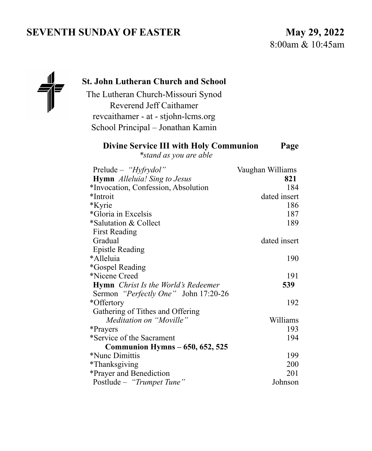# **SEVENTH SUNDAY OF EASTER** May 29, 2022

8:00am & 10:45am



### **St. John Lutheran Church and School**

The Lutheran Church-Missouri Synod Reverend Jeff Caithamer revcaithamer - at - stjohn-lcms.org School Principal – Jonathan Kamin

### **Divine Service III with Holy Communion Page**

*\*stand as you are able* 

| Prelude – " $Hyfrydol$ "                          | Vaughan Williams |
|---------------------------------------------------|------------------|
| <b>Hymn</b> Alleluia! Sing to Jesus               | 821              |
| *Invocation, Confession, Absolution               | 184              |
| *Introit                                          | dated insert     |
| *Kyrie                                            | 186              |
| *Gloria in Excelsis                               | 187              |
| *Salutation & Collect                             | 189              |
| <b>First Reading</b>                              |                  |
| Gradual                                           | dated insert     |
| <b>Epistle Reading</b>                            |                  |
| *Alleluia                                         | 190              |
| *Gospel Reading                                   |                  |
| *Nicene Creed                                     | 191              |
| <b>Hymn</b> <i>Christ Is the World's Redeemer</i> | 539              |
| Sermon " <i>Perfectly One</i> " John 17:20-26     |                  |
| *Offertory                                        | 192              |
| Gathering of Tithes and Offering                  |                  |
| Meditation on "Moville"                           | Williams         |
| *Prayers                                          | 193              |
| *Service of the Sacrament                         | 194              |
| <b>Communion Hymns – 650, 652, 525</b>            |                  |
| *Nunc Dimittis                                    | 199              |
| *Thanksgiving                                     | 200              |
| *Prayer and Benediction                           | 201              |
| Postlude - "Trumpet Tune"                         | Johnson          |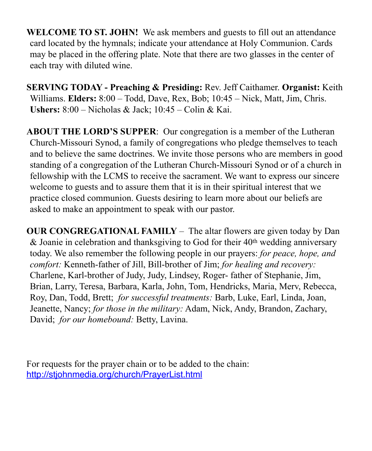**WELCOME TO ST. JOHN!** We ask members and guests to fill out an attendance card located by the hymnals; indicate your attendance at Holy Communion. Cards may be placed in the offering plate. Note that there are two glasses in the center of each tray with diluted wine.

**SERVING TODAY - Preaching & Presiding:** Rev. Jeff Caithamer. **Organist:** Keith Williams. **Elders:** 8:00 – Todd, Dave, Rex, Bob; 10:45 – Nick, Matt, Jim, Chris. **Ushers:** 8:00 – Nicholas & Jack; 10:45 – Colin & Kai.

**ABOUT THE LORD'S SUPPER**: Our congregation is a member of the Lutheran Church-Missouri Synod, a family of congregations who pledge themselves to teach and to believe the same doctrines. We invite those persons who are members in good standing of a congregation of the Lutheran Church-Missouri Synod or of a church in fellowship with the LCMS to receive the sacrament. We want to express our sincere welcome to guests and to assure them that it is in their spiritual interest that we practice closed communion. Guests desiring to learn more about our beliefs are asked to make an appointment to speak with our pastor.

**OUR CONGREGATIONAL FAMILY** *–* The altar flowers are given today by Dan & Joanie in celebration and thanksgiving to God for their 40th wedding anniversary today. We also remember the following people in our prayers: *for peace, hope, and comfort:* Kenneth-father of Jill, Bill-brother of Jim; *for healing and recovery:* Charlene, Karl-brother of Judy, Judy, Lindsey, Roger- father of Stephanie, Jim, Brian, Larry, Teresa, Barbara, Karla, John, Tom, Hendricks, Maria, Merv, Rebecca, Roy, Dan, Todd, Brett; *for successful treatments:* Barb, Luke, Earl, Linda, Joan, Jeanette, Nancy; *for those in the military:* Adam, Nick, Andy, Brandon, Zachary, David; *for our homebound:* Betty, Lavina.

For requests for the prayer chain or to be added to the chain: <http://stjohnmedia.org/church/PrayerList.html>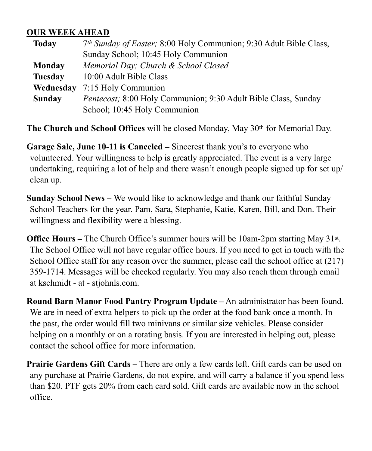### **OUR WEEK AHEAD**

| <b>Today</b>   | 7th Sunday of Easter; 8:00 Holy Communion; 9:30 Adult Bible Class, |  |
|----------------|--------------------------------------------------------------------|--|
|                | Sunday School; 10:45 Holy Communion                                |  |
| Monday         | Memorial Day; Church & School Closed                               |  |
| <b>Tuesday</b> | 10:00 Adult Bible Class                                            |  |
| Wednesday      | 7:15 Holy Communion                                                |  |
| <b>Sunday</b>  | Pentecost; 8:00 Holy Communion; 9:30 Adult Bible Class, Sunday     |  |
|                | School; 10:45 Holy Communion                                       |  |

**The Church and School Offices** will be closed Monday, May 30th for Memorial Day.

**Garage Sale, June 10-11 is Canceled –** Sincerest thank you's to everyone who volunteered. Your willingness to help is greatly appreciated. The event is a very large undertaking, requiring a lot of help and there wasn't enough people signed up for set up/ clean up.

**Sunday School News –** We would like to acknowledge and thank our faithful Sunday School Teachers for the year. Pam, Sara, Stephanie, Katie, Karen, Bill, and Don. Their willingness and flexibility were a blessing.

**Office Hours** – The Church Office's summer hours will be 10am-2pm starting May 31<sup>st</sup>. The School Office will not have regular office hours. If you need to get in touch with the School Office staff for any reason over the summer, please call the school office at  $(217)$ 359-1714. Messages will be checked regularly. You may also reach them through email at kschmidt - at - stjohnls.com.

**Round Barn Manor Food Pantry Program Update –** An administrator has been found. We are in need of extra helpers to pick up the order at the food bank once a month. In the past, the order would fill two minivans or similar size vehicles. Please consider helping on a monthly or on a rotating basis. If you are interested in helping out, please contact the school office for more information.

**Prairie Gardens Gift Cards –** There are only a few cards left. Gift cards can be used on any purchase at Prairie Gardens, do not expire, and will carry a balance if you spend less than \$20. PTF gets 20% from each card sold. Gift cards are available now in the school office.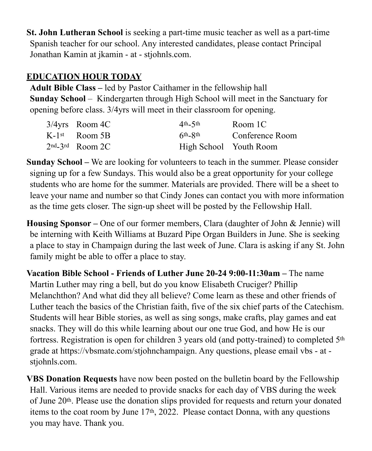**St. John Lutheran School** is seeking a part-time music teacher as well as a part-time Spanish teacher for our school. Any interested candidates, please contact Principal Jonathan Kamin at jkamin - at - stjohnls.com.

# **EDUCATION HOUR TODAY**

**Adult Bible Class –** led by Pastor Caithamer in the fellowship hall **Sunday School** – Kindergarten through High School will meet in the Sanctuary for opening before class. 3/4yrs will meet in their classroom for opening.

| $3/4$ yrs Room 4C           | $4th$ –5th             | Room <sub>1</sub> C |
|-----------------------------|------------------------|---------------------|
| $K-1$ <sup>st</sup> Room 5B | $6th$ - $8th$          | Conference Room     |
| $2nd - 3rd$ Room 2C         | High School Youth Room |                     |

**Sunday School –** We are looking for volunteers to teach in the summer. Please consider signing up for a few Sundays. This would also be a great opportunity for your college students who are home for the summer. Materials are provided. There will be a sheet to leave your name and number so that Cindy Jones can contact you with more information as the time gets closer. The sign-up sheet will be posted by the Fellowship Hall.

**Housing Sponsor –** One of our former members, Clara (daughter of John & Jennie) will be interning with Keith Williams at Buzard Pipe Organ Builders in June. She is seeking a place to stay in Champaign during the last week of June. Clara is asking if any St. John family might be able to offer a place to stay.

**Vacation Bible School - Friends of Luther June 20-24 9:00-11:30am –** The name Martin Luther may ring a bell, but do you know Elisabeth Cruciger? Phillip Melanchthon? And what did they all believe? Come learn as these and other friends of Luther teach the basics of the Christian faith, five of the six chief parts of the Catechism. Students will hear Bible stories, as well as sing songs, make crafts, play games and eat snacks. They will do this while learning about our one true God, and how He is our fortress. Registration is open for children 3 years old (and potty-trained) to completed 5th grade at https://vbsmate.com/stjohnchampaign. Any questions, please email vbs - at stjohnls.com.

**VBS Donation Requests** have now been posted on the bulletin board by the Fellowship Hall. Various items are needed to provide snacks for each day of VBS during the week of June 20th. Please use the donation slips provided for requests and return your donated items to the coat room by June 17th, 2022. Please contact Donna, with any questions you may have. Thank you.